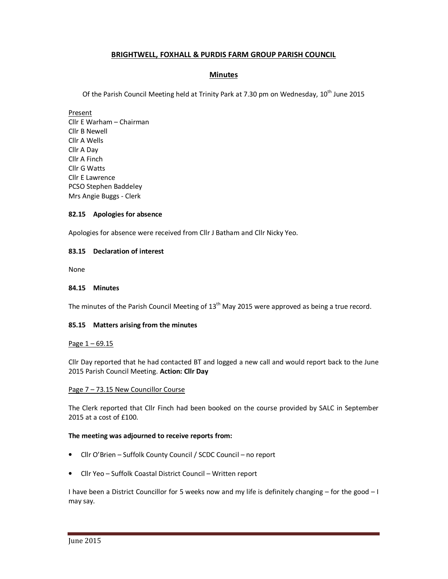# **BRIGHTWELL, FOXHALL & PURDIS FARM GROUP PARISH COUNCIL**

## **Minutes**

Of the Parish Council Meeting held at Trinity Park at 7.30 pm on Wednesday,  $10^{th}$  June 2015

Present

Cllr E Warham – Chairman Cllr B Newell Cllr A Wells Cllr A Day Cllr A Finch Cllr G Watts Cllr E Lawrence PCSO Stephen Baddeley Mrs Angie Buggs - Clerk

## **82.15 Apologies for absence**

Apologies for absence were received from Cllr J Batham and Cllr Nicky Yeo.

## **83.15 Declaration of interest**

None

### **84.15 Minutes**

The minutes of the Parish Council Meeting of  $13<sup>th</sup>$  May 2015 were approved as being a true record.

### **85.15 Matters arising from the minutes**

### Page  $1 - 69.15$

Cllr Day reported that he had contacted BT and logged a new call and would report back to the June 2015 Parish Council Meeting. **Action: Cllr Day** 

### Page 7 – 73.15 New Councillor Course

The Clerk reported that Cllr Finch had been booked on the course provided by SALC in September 2015 at a cost of £100.

### **The meeting was adjourned to receive reports from:**

- Cllr O'Brien Suffolk County Council / SCDC Council no report
- Cllr Yeo Suffolk Coastal District Council Written report

I have been a District Councillor for 5 weeks now and my life is definitely changing – for the good – I may say.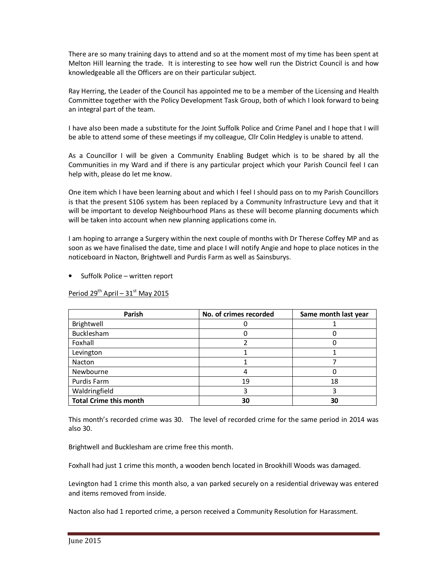There are so many training days to attend and so at the moment most of my time has been spent at Melton Hill learning the trade. It is interesting to see how well run the District Council is and how knowledgeable all the Officers are on their particular subject.

Ray Herring, the Leader of the Council has appointed me to be a member of the Licensing and Health Committee together with the Policy Development Task Group, both of which I look forward to being an integral part of the team.

I have also been made a substitute for the Joint Suffolk Police and Crime Panel and I hope that I will be able to attend some of these meetings if my colleague, Cllr Colin Hedgley is unable to attend.

As a Councillor I will be given a Community Enabling Budget which is to be shared by all the Communities in my Ward and if there is any particular project which your Parish Council feel I can help with, please do let me know.

One item which I have been learning about and which I feel I should pass on to my Parish Councillors is that the present S106 system has been replaced by a Community Infrastructure Levy and that it will be important to develop Neighbourhood Plans as these will become planning documents which will be taken into account when new planning applications come in.

I am hoping to arrange a Surgery within the next couple of months with Dr Therese Coffey MP and as soon as we have finalised the date, time and place I will notify Angie and hope to place notices in the noticeboard in Nacton, Brightwell and Purdis Farm as well as Sainsburys.

• Suffolk Police – written report

Period  $29^{th}$  April –  $31^{st}$  May 2015

| Parish                        | No. of crimes recorded | Same month last year |
|-------------------------------|------------------------|----------------------|
| Brightwell                    |                        |                      |
| Bucklesham                    |                        |                      |
| Foxhall                       |                        |                      |
| Levington                     |                        |                      |
| Nacton                        |                        |                      |
| Newbourne                     |                        |                      |
| Purdis Farm                   | 19                     | 18                   |
| Waldringfield                 |                        |                      |
| <b>Total Crime this month</b> | 30                     | 30                   |

This month's recorded crime was 30. The level of recorded crime for the same period in 2014 was also 30.

Brightwell and Bucklesham are crime free this month.

Foxhall had just 1 crime this month, a wooden bench located in Brookhill Woods was damaged.

Levington had 1 crime this month also, a van parked securely on a residential driveway was entered and items removed from inside.

Nacton also had 1 reported crime, a person received a Community Resolution for Harassment.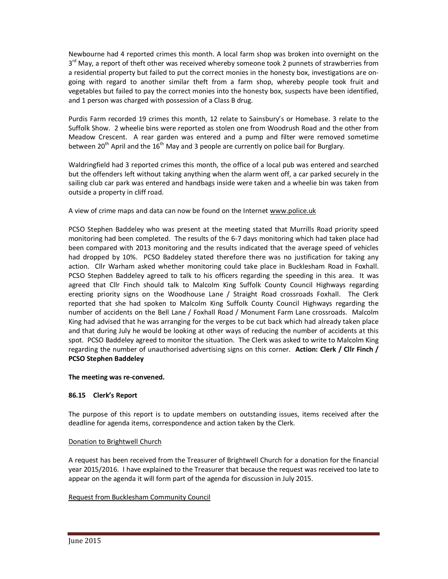Newbourne had 4 reported crimes this month. A local farm shop was broken into overnight on the 3<sup>rd</sup> May, a report of theft other was received whereby someone took 2 punnets of strawberries from a residential property but failed to put the correct monies in the honesty box, investigations are ongoing with regard to another similar theft from a farm shop, whereby people took fruit and vegetables but failed to pay the correct monies into the honesty box, suspects have been identified, and 1 person was charged with possession of a Class B drug.

Purdis Farm recorded 19 crimes this month, 12 relate to Sainsbury's or Homebase. 3 relate to the Suffolk Show. 2 wheelie bins were reported as stolen one from Woodrush Road and the other from Meadow Crescent. A rear garden was entered and a pump and filter were removed sometime between 20<sup>th</sup> April and the 16<sup>th</sup> May and 3 people are currently on police bail for Burglary.

Waldringfield had 3 reported crimes this month, the office of a local pub was entered and searched but the offenders left without taking anything when the alarm went off, a car parked securely in the sailing club car park was entered and handbags inside were taken and a wheelie bin was taken from outside a property in cliff road.

A view of crime maps and data can now be found on the Internet www.police.uk

PCSO Stephen Baddeley who was present at the meeting stated that Murrills Road priority speed monitoring had been completed. The results of the 6-7 days monitoring which had taken place had been compared with 2013 monitoring and the results indicated that the average speed of vehicles had dropped by 10%. PCSO Baddeley stated therefore there was no justification for taking any action. Cllr Warham asked whether monitoring could take place in Bucklesham Road in Foxhall. PCSO Stephen Baddeley agreed to talk to his officers regarding the speeding in this area. It was agreed that Cllr Finch should talk to Malcolm King Suffolk County Council Highways regarding erecting priority signs on the Woodhouse Lane / Straight Road crossroads Foxhall. The Clerk reported that she had spoken to Malcolm King Suffolk County Council Highways regarding the number of accidents on the Bell Lane / Foxhall Road / Monument Farm Lane crossroads. Malcolm King had advised that he was arranging for the verges to be cut back which had already taken place and that during July he would be looking at other ways of reducing the number of accidents at this spot. PCSO Baddeley agreed to monitor the situation. The Clerk was asked to write to Malcolm King regarding the number of unauthorised advertising signs on this corner. **Action: Clerk / Cllr Finch / PCSO Stephen Baddeley**

## **The meeting was re-convened.**

# **86.15 Clerk's Report**

The purpose of this report is to update members on outstanding issues, items received after the deadline for agenda items, correspondence and action taken by the Clerk.

## Donation to Brightwell Church

A request has been received from the Treasurer of Brightwell Church for a donation for the financial year 2015/2016. I have explained to the Treasurer that because the request was received too late to appear on the agenda it will form part of the agenda for discussion in July 2015.

## Request from Bucklesham Community Council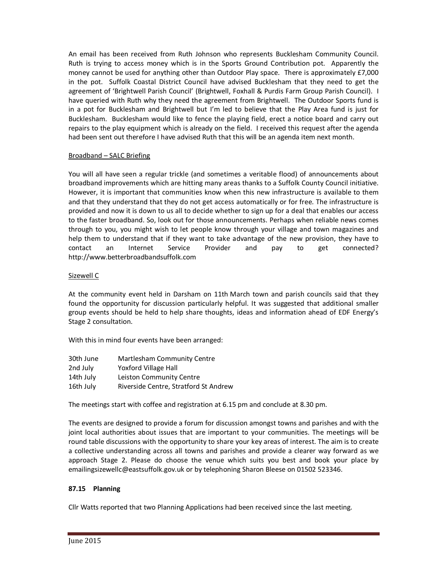An email has been received from Ruth Johnson who represents Bucklesham Community Council. Ruth is trying to access money which is in the Sports Ground Contribution pot. Apparently the money cannot be used for anything other than Outdoor Play space. There is approximately £7,000 in the pot. Suffolk Coastal District Council have advised Bucklesham that they need to get the agreement of 'Brightwell Parish Council' (Brightwell, Foxhall & Purdis Farm Group Parish Council). I have queried with Ruth why they need the agreement from Brightwell. The Outdoor Sports fund is in a pot for Bucklesham and Brightwell but I'm led to believe that the Play Area fund is just for Bucklesham. Bucklesham would like to fence the playing field, erect a notice board and carry out repairs to the play equipment which is already on the field. I received this request after the agenda had been sent out therefore I have advised Ruth that this will be an agenda item next month.

## Broadband – SALC Briefing

You will all have seen a regular trickle (and sometimes a veritable flood) of announcements about broadband improvements which are hitting many areas thanks to a Suffolk County Council initiative. However, it is important that communities know when this new infrastructure is available to them and that they understand that they do not get access automatically or for free. The infrastructure is provided and now it is down to us all to decide whether to sign up for a deal that enables our access to the faster broadband. So, look out for those announcements. Perhaps when reliable news comes through to you, you might wish to let people know through your village and town magazines and help them to understand that if they want to take advantage of the new provision, they have to contact an Internet Service Provider and pay to get connected? http://www.betterbroadbandsuffolk.com

## Sizewell C

At the community event held in Darsham on 11th March town and parish councils said that they found the opportunity for discussion particularly helpful. It was suggested that additional smaller group events should be held to help share thoughts, ideas and information ahead of EDF Energy's Stage 2 consultation.

With this in mind four events have been arranged:

| 30th June | <b>Martlesham Community Centre</b>    |
|-----------|---------------------------------------|
| 2nd July  | <b>Yoxford Village Hall</b>           |
| 14th July | Leiston Community Centre              |
| 16th July | Riverside Centre, Stratford St Andrew |

The meetings start with coffee and registration at 6.15 pm and conclude at 8.30 pm.

The events are designed to provide a forum for discussion amongst towns and parishes and with the joint local authorities about issues that are important to your communities. The meetings will be round table discussions with the opportunity to share your key areas of interest. The aim is to create a collective understanding across all towns and parishes and provide a clearer way forward as we approach Stage 2. Please do choose the venue which suits you best and book your place by emailingsizewellc@eastsuffolk.gov.uk or by telephoning Sharon Bleese on 01502 523346.

## **87.15 Planning**

Cllr Watts reported that two Planning Applications had been received since the last meeting.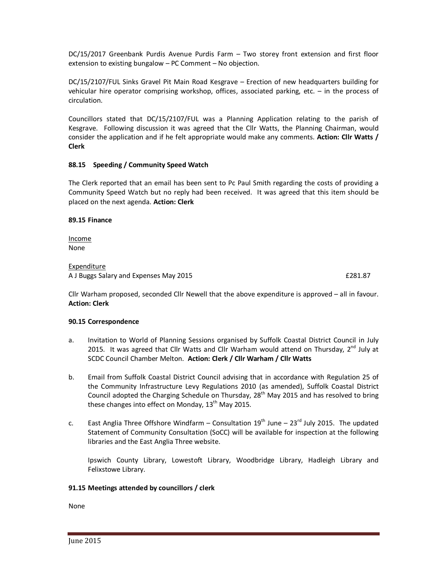DC/15/2017 Greenbank Purdis Avenue Purdis Farm – Two storey front extension and first floor extension to existing bungalow – PC Comment – No objection.

DC/15/2107/FUL Sinks Gravel Pit Main Road Kesgrave – Erection of new headquarters building for vehicular hire operator comprising workshop, offices, associated parking, etc. – in the process of circulation.

Councillors stated that DC/15/2107/FUL was a Planning Application relating to the parish of Kesgrave. Following discussion it was agreed that the Cllr Watts, the Planning Chairman, would consider the application and if he felt appropriate would make any comments. **Action: Cllr Watts / Clerk** 

## **88.15 Speeding / Community Speed Watch**

The Clerk reported that an email has been sent to Pc Paul Smith regarding the costs of providing a Community Speed Watch but no reply had been received. It was agreed that this item should be placed on the next agenda. **Action: Clerk** 

### **89.15 Finance**

Income None

#### Expenditure A J Buggs Salary and Expenses May 2015 **EXPENSION CONSTRUSTED ASSESSED** F281.87

Cllr Warham proposed, seconded Cllr Newell that the above expenditure is approved – all in favour. **Action: Clerk** 

## **90.15 Correspondence**

- a. Invitation to World of Planning Sessions organised by Suffolk Coastal District Council in July 2015. It was agreed that Cllr Watts and Cllr Warham would attend on Thursday,  $2<sup>nd</sup>$  July at SCDC Council Chamber Melton. **Action: Clerk / Cllr Warham / Cllr Watts**
- b. Email from Suffolk Coastal District Council advising that in accordance with Regulation 25 of the Community Infrastructure Levy Regulations 2010 (as amended), Suffolk Coastal District Council adopted the Charging Schedule on Thursday,  $28<sup>th</sup>$  May 2015 and has resolved to bring these changes into effect on Monday,  $13<sup>th</sup>$  May 2015.
- c. East Anglia Three Offshore Windfarm Consultation  $19^{th}$  June  $23^{rd}$  July 2015. The updated Statement of Community Consultation (SoCC) will be available for inspection at the following libraries and the East Anglia Three website.

 Ipswich County Library, Lowestoft Library, Woodbridge Library, Hadleigh Library and Felixstowe Library.

### **91.15 Meetings attended by councillors / clerk**

None